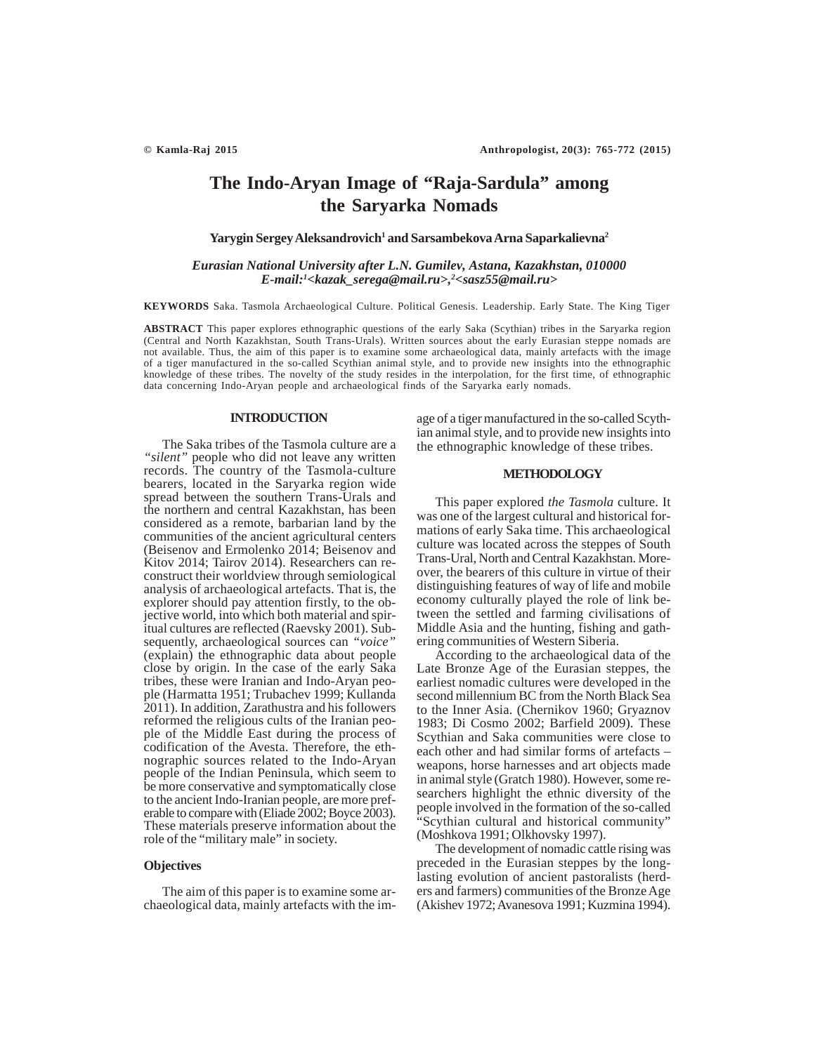# **The Indo-Aryan Image of "Raja-Sardula" among the Saryarka Nomads**

**Yarygin Sergey Aleksandrovich1 and Sarsambekova Arna Saparkalievna2**

*Eurasian National University after L.N. Gumilev, Astana, Kazakhstan, 010000 E-mail:1 <kazak\_serega@mail.ru>,2 <sasz55@mail.ru>*

**KEYWORDS** Saka. Tasmola Archaeological Culture. Political Genesis. Leadership. Early State. The King Tiger

**ABSTRACT** This paper explores ethnographic questions of the early Saka (Scythian) tribes in the Saryarka region (Central and North Kazakhstan, South Trans-Urals). Written sources about the early Eurasian steppe nomads are not available. Thus, the aim of this paper is to examine some archaeological data, mainly artefacts with the image of a tiger manufactured in the so-called Scythian animal style, and to provide new insights into the ethnographic knowledge of these tribes. The novelty of the study resides in the interpolation, for the first time, of ethnographic data concerning Indo-Aryan people and archaeological finds of the Saryarka early nomads.

## **INTRODUCTION**

The Saka tribes of the Tasmola culture are a *"silent"* people who did not leave any written records. The country of the Tasmola-culture bearers, located in the Saryarka region wide spread between the southern Trans-Urals and the northern and central Kazakhstan, has been considered as a remote, barbarian land by the communities of the ancient agricultural centers (Beisenov and Ermolenko 2014; Beisenov and Kitov 2014; Tairov 2014). Researchers can reconstruct their worldview through semiological analysis of archaeological artefacts. That is, the explorer should pay attention firstly, to the objective world, into which both material and spiritual cultures are reflected (Raevsky 2001). Subsequently, archaeological sources can *"voice"* (explain) the ethnographic data about people close by origin. In the case of the early Saka tribes, these were Iranian and Indo-Aryan people (Harmatta 1951; Trubachev 1999; Kullanda 2011). In addition, Zarathustra and his followers reformed the religious cults of the Iranian people of the Middle East during the process of codification of the Avesta. Therefore, the ethnographic sources related to the Indo-Aryan people of the Indian Peninsula, which seem to be more conservative and symptomatically close to the ancient Indo-Iranian people, are more preferable to compare with (Eliade 2002; Boyce 2003). These materials preserve information about the role of the "military male" in society.

### **Objectives**

The aim of this paper is to examine some archaeological data, mainly artefacts with the image of a tiger manufactured in the so-called Scythian animal style, and to provide new insights into the ethnographic knowledge of these tribes.

# **METHODOLOGY**

This paper explored *the Tasmola* culture. It was one of the largest cultural and historical formations of early Saka time. This archaeological culture was located across the steppes of South Trans-Ural, North and Central Kazakhstan. Moreover, the bearers of this culture in virtue of their distinguishing features of way of life and mobile economy culturally played the role of link between the settled and farming civilisations of Middle Asia and the hunting, fishing and gathering communities of Western Siberia.

According to the archaeological data of the Late Bronze Age of the Eurasian steppes, the earliest nomadic cultures were developed in the second millennium BC from the North Black Sea to the Inner Asia. (Chernikov 1960; Gryaznov 1983; Di Cosmo 2002; Barfield 2009). These Scythian and Saka communities were close to each other and had similar forms of artefacts – weapons, horse harnesses and art objects made in animal style (Gratch 1980). However, some researchers highlight the ethnic diversity of the people involved in the formation of the so-called "Scythian cultural and historical community" (Moshkova 1991; Olkhovsky 1997).

The development of nomadic cattle rising was preceded in the Eurasian steppes by the longlasting evolution of ancient pastoralists (herders and farmers) communities of the Bronze Age (Akishev 1972; Avanesova 1991; Kuzmina 1994).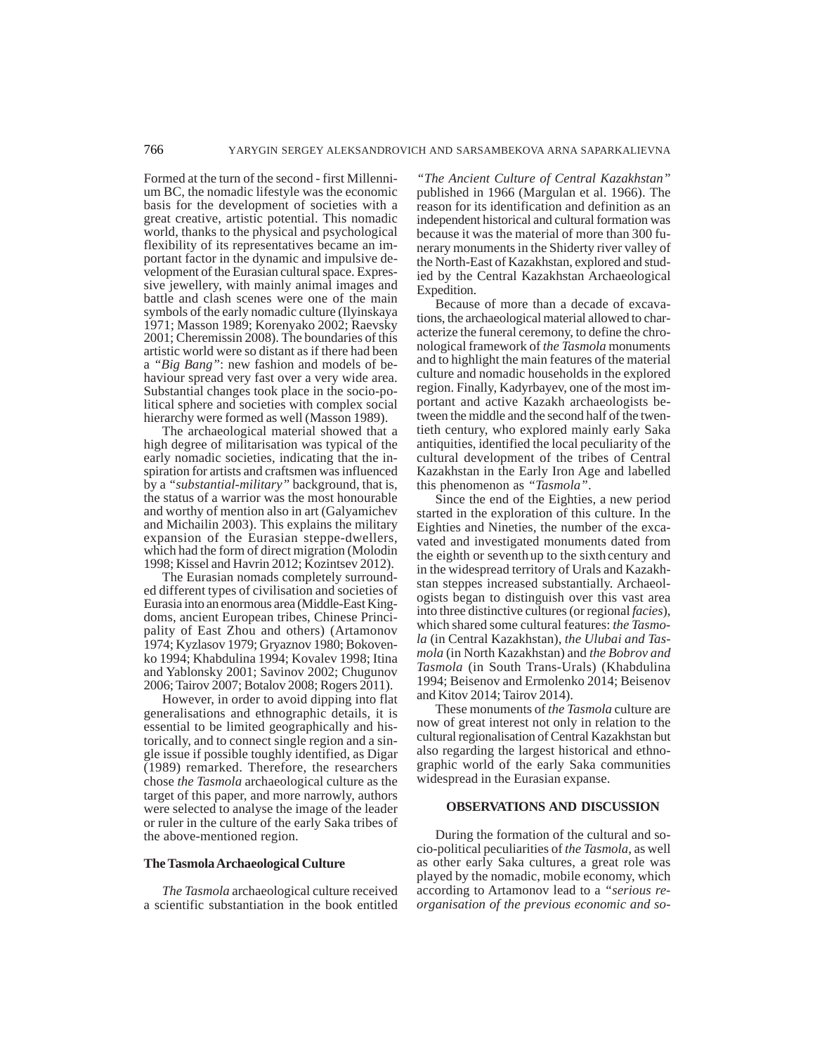Formed at the turn of the second - first Millennium BC, the nomadic lifestyle was the economic basis for the development of societies with a great creative, artistic potential. This nomadic world, thanks to the physical and psychological flexibility of its representatives became an important factor in the dynamic and impulsive development of the Eurasian cultural space. Expressive jewellery, with mainly animal images and battle and clash scenes were one of the main symbols of the early nomadic culture (Ilyinskaya 1971; Masson 1989; Korenyako 2002; Raevsky 2001; Cheremissin 2008). The boundaries of this artistic world were so distant as if there had been a *"Big Bang"*: new fashion and models of behaviour spread very fast over a very wide area. Substantial changes took place in the socio-political sphere and societies with complex social hierarchy were formed as well (Masson 1989).

The archaeological material showed that a high degree of militarisation was typical of the early nomadic societies, indicating that the inspiration for artists and craftsmen was influenced by a *"substantial-military"* background, that is, the status of a warrior was the most honourable and worthy of mention also in art (Galyamichev and Michailin 2003). This explains the military expansion of the Eurasian steppe-dwellers, which had the form of direct migration (Molodin 1998; Kissel and Havrin 2012; Kozintsev 2012).

The Eurasian nomads completely surrounded different types of civilisation and societies of Eurasia into an enormous area (Middle-East Kingdoms, ancient European tribes, Chinese Principality of East Zhou and others) (Artamonov 1974; Kyzlasov 1979; Gryaznov 1980; Bokovenko 1994; Khabdulina 1994; Kovalev 1998; Itina and Yablonsky 2001; Savinov 2002; Chugunov 2006; Tairov 2007; Botalov 2008; Rogers 2011).

However, in order to avoid dipping into flat generalisations and ethnographic details, it is essential to be limited geographically and historically, and to connect single region and a single issue if possible toughly identified, as Digar (1989) remarked. Therefore, the researchers chose *the Tasmola* archaeological culture as the target of this paper, and more narrowly, authors were selected to analyse the image of the leader or ruler in the culture of the early Saka tribes of the above-mentioned region.

### **The Tasmola Archaeological Culture**

*The Tasmola* archaeological culture received a scientific substantiation in the book entitled

*"The Ancient Culture of Central Kazakhstan"* published in 1966 (Margulan et al. 1966). The reason for its identification and definition as an independent historical and cultural formation was because it was the material of more than 300 funerary monuments in the Shiderty river valley of the North-East of Kazakhstan, explored and studied by the Central Kazakhstan Archaeological Expedition.

Because of more than a decade of excavations, the archaeological material allowed to characterize the funeral ceremony, to define the chronological framework of *the Tasmola* monuments and to highlight the main features of the material culture and nomadic households in the explored region. Finally, Kadyrbayev, one of the most important and active Kazakh archaeologists between the middle and the second half of the twentieth century, who explored mainly early Saka antiquities, identified the local peculiarity of the cultural development of the tribes of Central Kazakhstan in the Early Iron Age and labelled this phenomenon as *"Tasmola"*.

Since the end of the Eighties, a new period started in the exploration of this culture. In the Eighties and Nineties, the number of the excavated and investigated monuments dated from the eighth or seventh up to the sixth century and in the widespread territory of Urals and Kazakhstan steppes increased substantially. Archaeologists began to distinguish over this vast area into three distinctive cultures (or regional *facies*), which shared some cultural features: *the Tasmola* (in Central Kazakhstan), *the Ulubai and Tasmola* (in North Kazakhstan) and *the Bobrov and Tasmola* (in South Trans-Urals) (Khabdulina 1994; Beisenov and Ermolenko 2014; Beisenov and Kitov 2014; Tairov 2014).

These monuments of *the Tasmola* culture are now of great interest not only in relation to the cultural regionalisation of Central Kazakhstan but also regarding the largest historical and ethnographic world of the early Saka communities widespread in the Eurasian expanse.

#### **OBSERVATIONS AND DISCUSSION**

During the formation of the cultural and socio-political peculiarities of *the Tasmola*, as well as other early Saka cultures, a great role was played by the nomadic, mobile economy, which according to Artamonov lead to a *"serious reorganisation of the previous economic and so-*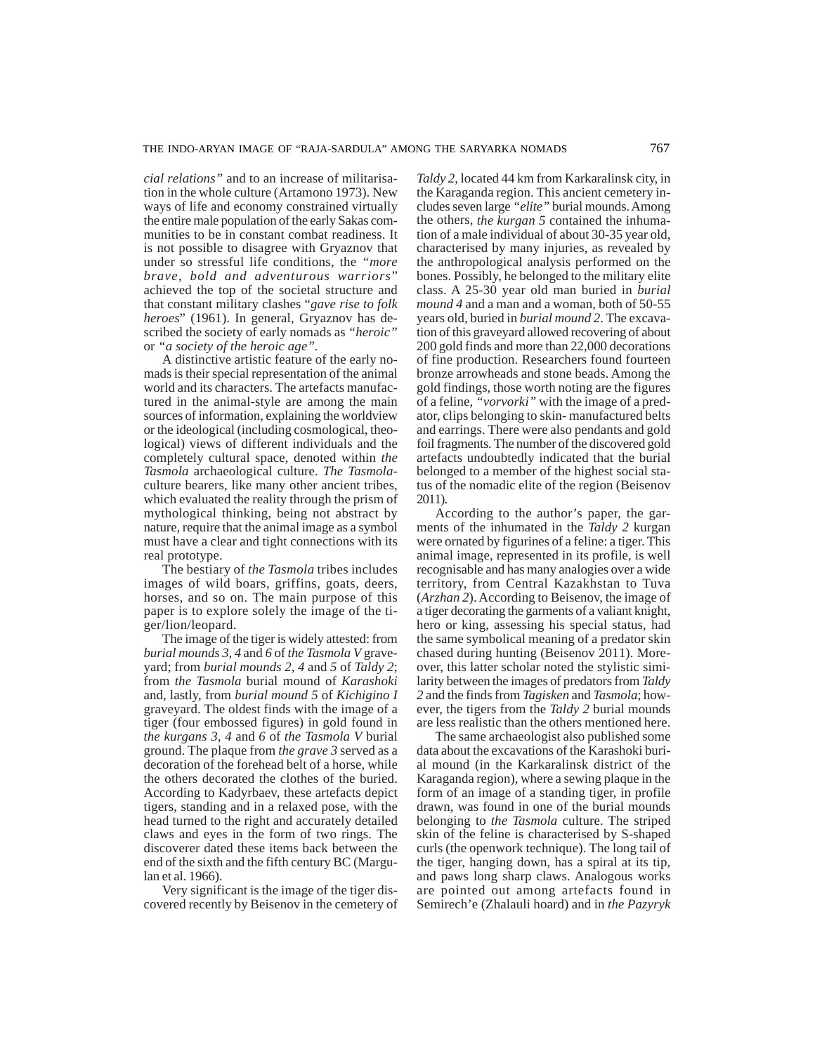*cial relations"* and to an increase of militarisation in the whole culture (Artamono 1973). New ways of life and economy constrained virtually the entire male population of the early Sakas communities to be in constant combat readiness. It is not possible to disagree with Gryaznov that under so stressful life conditions, the *"more brave, bold and adventurous warriors*" achieved the top of the societal structure and that constant military clashes "*gave rise to folk heroes*" (1961). In general, Gryaznov has described the society of early nomads as *"heroic"* or *"a society of the heroic age".*

A distinctive artistic feature of the early nomads is their special representation of the animal world and its characters. The artefacts manufactured in the animal-style are among the main sources of information, explaining the worldview or the ideological (including cosmological, theological) views of different individuals and the completely cultural space, denoted within *the Tasmola* archaeological culture. *The Tasmola*culture bearers, like many other ancient tribes, which evaluated the reality through the prism of mythological thinking, being not abstract by nature, require that the animal image as a symbol must have a clear and tight connections with its real prototype.

The bestiary of *the Tasmola* tribes includes images of wild boars, griffins, goats, deers, horses, and so on. The main purpose of this paper is to explore solely the image of the tiger/lion/leopard.

The image of the tiger is widely attested: from *burial mounds 3, 4* and *6* of *the Tasmola V* graveyard; from *burial mounds 2, 4* and *5* of *Taldy 2*; from *the Tasmola* burial mound of *Karashoki* and, lastly, from *burial mound 5* of *Kichigino I* graveyard. The oldest finds with the image of a tiger (four embossed figures) in gold found in *the kurgans 3, 4* and *6* of *the Tasmola V* burial ground. The plaque from *the grave 3* served as a decoration of the forehead belt of a horse, while the others decorated the clothes of the buried. According to Kadyrbaev, these artefacts depict tigers, standing and in a relaxed pose, with the head turned to the right and accurately detailed claws and eyes in the form of two rings. The discoverer dated these items back between the end of the sixth and the fifth century BC (Margulan et al. 1966).

Very significant is the image of the tiger discovered recently by Beisenov in the cemetery of *Taldy 2*, located 44 km from Karkaralinsk city, in the Karaganda region. This ancient cemetery includes seven large *"elite"* burial mounds. Among the others, *the kurgan 5* contained the inhumation of a male individual of about 30-35 year old, characterised by many injuries, as revealed by the anthropological analysis performed on the bones. Possibly, he belonged to the military elite class. A 25-30 year old man buried in *burial mound 4* and a man and a woman, both of 50-55 years old, buried in *burial mound 2*. The excavation of this graveyard allowed recovering of about 200 gold finds and more than 22,000 decorations of fine production. Researchers found fourteen bronze arrowheads and stone beads. Among the gold findings, those worth noting are the figures of a feline, *"vorvorki"* with the image of a predator, clips belonging to skin- manufactured belts and earrings. There were also pendants and gold foil fragments. The number of the discovered gold artefacts undoubtedly indicated that the burial belonged to a member of the highest social status of the nomadic elite of the region (Beisenov 2011).

According to the author's paper, the garments of the inhumated in the *Taldy 2* kurgan were ornated by figurines of a feline: a tiger. This animal image, represented in its profile, is well recognisable and has many analogies over a wide territory, from Central Kazakhstan to Tuva (*Arzhan 2*). According to Beisenov, the image of a tiger decorating the garments of a valiant knight, hero or king, assessing his special status, had the same symbolical meaning of a predator skin chased during hunting (Beisenov 2011). Moreover, this latter scholar noted the stylistic similarity between the images of predators from *Taldy 2* and the finds from *Tagisken* and *Tasmola*; however, the tigers from the *Taldy 2* burial mounds are less realistic than the others mentioned here.

The same archaeologist also published some data about the excavations of the Karashoki burial mound (in the Karkaralinsk district of the Karaganda region), where a sewing plaque in the form of an image of a standing tiger, in profile drawn, was found in one of the burial mounds belonging to *the Tasmola* culture. The striped skin of the feline is characterised by S-shaped curls (the openwork technique). The long tail of the tiger, hanging down, has a spiral at its tip, and paws long sharp claws. Analogous works are pointed out among artefacts found in Semirech'e (Zhalauli hoard) and in *the Pazyryk*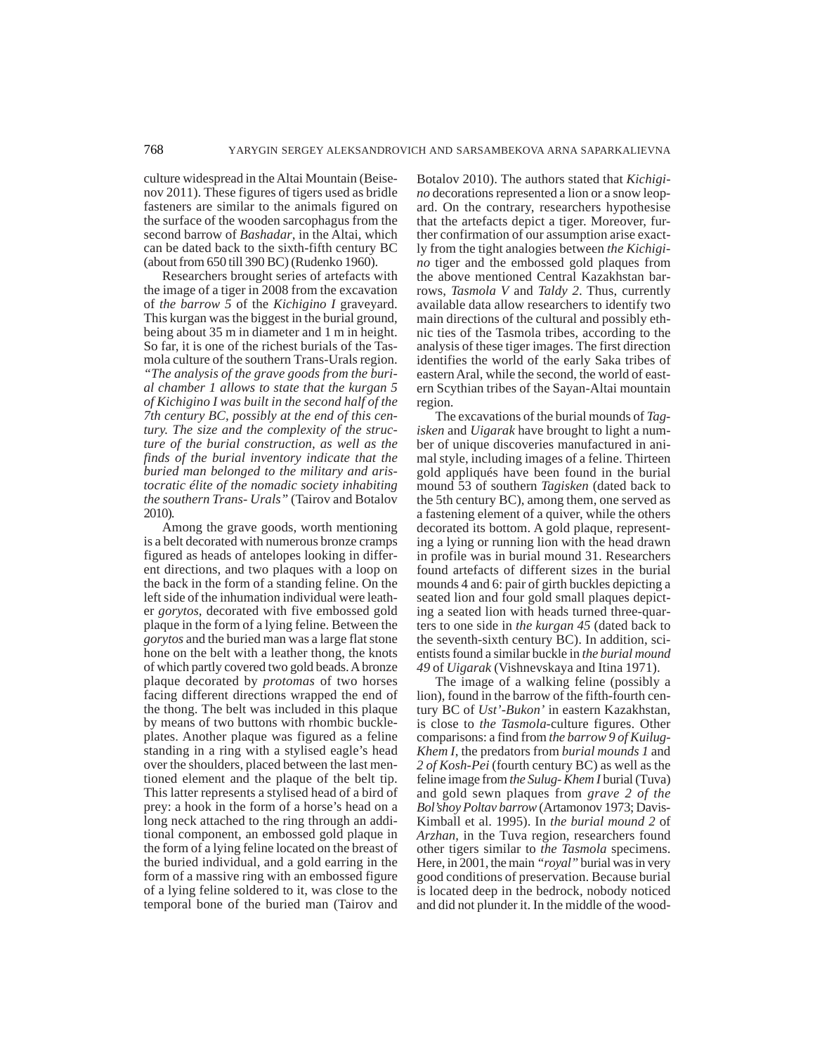culture widespread in the Altai Mountain (Beisenov 2011). These figures of tigers used as bridle fasteners are similar to the animals figured on the surface of the wooden sarcophagus from the second barrow of *Bashadar*, in the Altai, which can be dated back to the sixth-fifth century BC (about from 650 till 390 BC) (Rudenko 1960).

Researchers brought series of artefacts with the image of a tiger in 2008 from the excavation of *the barrow 5* of the *Kichigino I* graveyard. This kurgan was the biggest in the burial ground, being about 35 m in diameter and 1 m in height. So far, it is one of the richest burials of the Tasmola culture of the southern Trans-Urals region.

*"The analysis of the grave goods from the burial chamber 1 allows to state that the kurgan 5 of Kichigino I was built in the second half of the 7th century BC, possibly at the end of this century. The size and the complexity of the structure of the burial construction, as well as the finds of the burial inventory indicate that the buried man belonged to the military and aristocratic élite of the nomadic society inhabiting the southern Trans- Urals"* (Tairov and Botalov 2010).

Among the grave goods, worth mentioning is a belt decorated with numerous bronze cramps figured as heads of antelopes looking in different directions, and two plaques with a loop on the back in the form of a standing feline. On the left side of the inhumation individual were leather *gorytos*, decorated with five embossed gold plaque in the form of a lying feline. Between the *gorytos* and the buried man was a large flat stone hone on the belt with a leather thong, the knots of which partly covered two gold beads. A bronze plaque decorated by *protomas* of two horses facing different directions wrapped the end of the thong. The belt was included in this plaque by means of two buttons with rhombic buckleplates. Another plaque was figured as a feline standing in a ring with a stylised eagle's head over the shoulders, placed between the last mentioned element and the plaque of the belt tip. This latter represents a stylised head of a bird of prey: a hook in the form of a horse's head on a long neck attached to the ring through an additional component, an embossed gold plaque in the form of a lying feline located on the breast of the buried individual, and a gold earring in the form of a massive ring with an embossed figure of a lying feline soldered to it, was close to the temporal bone of the buried man (Tairov and Botalov 2010). The authors stated that *Kichigino* decorations represented a lion or a snow leopard. On the contrary, researchers hypothesise that the artefacts depict a tiger. Moreover, further confirmation of our assumption arise exactly from the tight analogies between *the Kichigino* tiger and the embossed gold plaques from the above mentioned Central Kazakhstan barrows, *Tasmola V* and *Taldy 2*. Thus, currently available data allow researchers to identify two main directions of the cultural and possibly ethnic ties of the Tasmola tribes, according to the analysis of these tiger images. The first direction identifies the world of the early Saka tribes of eastern Aral, while the second, the world of eastern Scythian tribes of the Sayan-Altai mountain region.

The excavations of the burial mounds of *Tagisken* and *Uigarak* have brought to light a number of unique discoveries manufactured in animal style, including images of a feline. Thirteen gold appliqués have been found in the burial mound 53 of southern *Tagisken* (dated back to the 5th century BC), among them, one served as a fastening element of a quiver, while the others decorated its bottom. A gold plaque, representing a lying or running lion with the head drawn in profile was in burial mound 31. Researchers found artefacts of different sizes in the burial mounds 4 and 6: pair of girth buckles depicting a seated lion and four gold small plaques depicting a seated lion with heads turned three-quarters to one side in *the kurgan 45* (dated back to the seventh-sixth century BC). In addition, scientists found a similar buckle in *the burial mound 49* of *Uigarak* (Vishnevskaya and Itina 1971).

The image of a walking feline (possibly a lion), found in the barrow of the fifth-fourth century BC of *Ust'-Bukon'* in eastern Kazakhstan, is close to *the Tasmola*-culture figures. Other comparisons: a find from *the barrow 9 of Kuilug-Khem I*, the predators from *burial mounds 1* and *2 of Kosh-Pei* (fourth century BC) as well as the feline image from *the Sulug- Khem I* burial (Tuva) and gold sewn plaques from *grave 2 of the Bol'shoy Poltav barrow* (Artamonov 1973; Davis-Kimball et al. 1995). In *the burial mound 2* of *Arzhan*, in the Tuva region, researchers found other tigers similar to *the Tasmola* specimens. Here, in 2001, the main *"royal"* burial was in very good conditions of preservation. Because burial is located deep in the bedrock, nobody noticed and did not plunder it. In the middle of the wood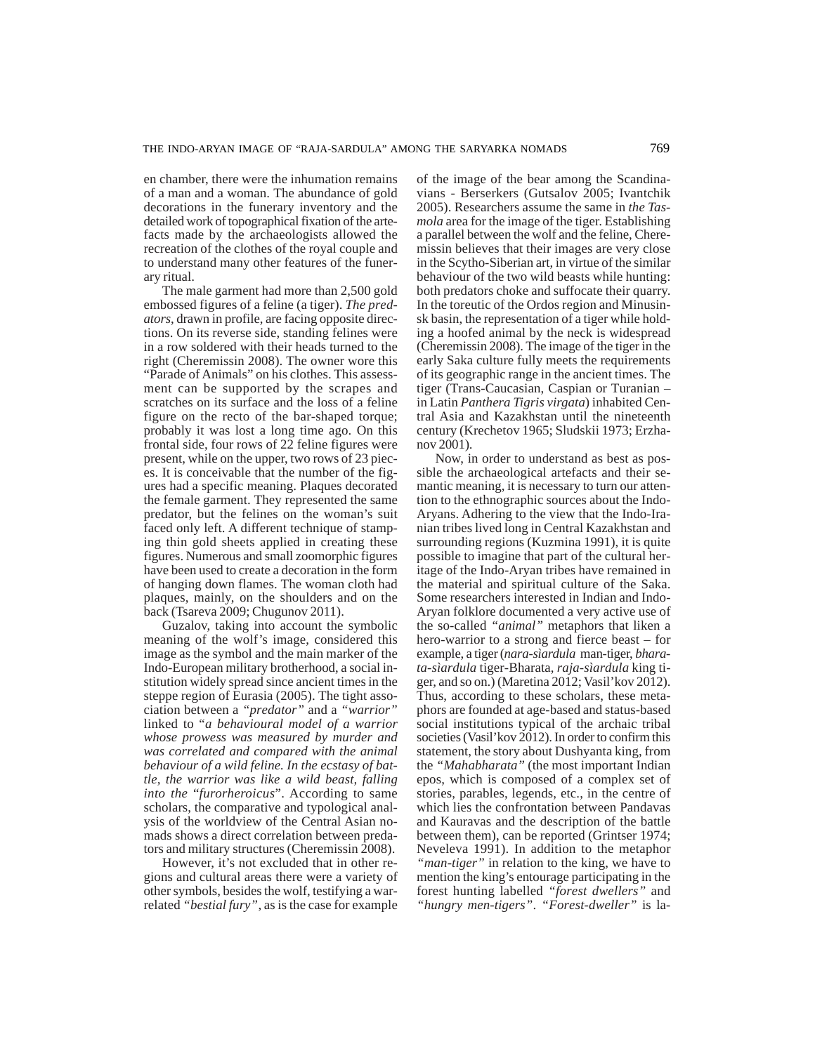en chamber, there were the inhumation remains of a man and a woman. The abundance of gold decorations in the funerary inventory and the detailed work of topographical fixation of the artefacts made by the archaeologists allowed the recreation of the clothes of the royal couple and to understand many other features of the funerary ritual.

The male garment had more than 2,500 gold embossed figures of a feline (a tiger). *The predators*, drawn in profile, are facing opposite directions. On its reverse side, standing felines were in a row soldered with their heads turned to the right (Cheremissin 2008). The owner wore this "Parade of Animals" on his clothes. This assessment can be supported by the scrapes and scratches on its surface and the loss of a feline figure on the recto of the bar-shaped torque; probably it was lost a long time ago. On this frontal side, four rows of 22 feline figures were present, while on the upper, two rows of 23 pieces. It is conceivable that the number of the figures had a specific meaning. Plaques decorated the female garment. They represented the same predator, but the felines on the woman's suit faced only left. A different technique of stamping thin gold sheets applied in creating these figures. Numerous and small zoomorphic figures have been used to create a decoration in the form of hanging down flames. The woman cloth had plaques, mainly, on the shoulders and on the back (Tsareva 2009; Chugunov 2011).

Guzalov, taking into account the symbolic meaning of the wolf's image, considered this image as the symbol and the main marker of the Indo-European military brotherhood, a social institution widely spread since ancient times in the steppe region of Eurasia (2005). The tight association between a *"predator"* and a *"warrior"* linked to "*a behavioural model of a warrior whose prowess was measured by murder and was correlated and compared with the animal behaviour of a wild feline. In the ecstasy of battle, the warrior was like a wild beast, falling into the* "*furorheroicus*". According to same scholars, the comparative and typological analysis of the worldview of the Central Asian nomads shows a direct correlation between predators and military structures (Cheremissin 2008).

However, it's not excluded that in other regions and cultural areas there were a variety of other symbols, besides the wolf, testifying a warrelated *"bestial fury"*, as is the case for example

of the image of the bear among the Scandinavians - Berserkers (Gutsalov 2005; Ivantchik 2005). Researchers assume the same in *the Tasmola* area for the image of the tiger. Establishing a parallel between the wolf and the feline, Cheremissin believes that their images are very close in the Scytho-Siberian art, in virtue of the similar behaviour of the two wild beasts while hunting: both predators choke and suffocate their quarry. In the toreutic of the Ordos region and Minusinsk basin, the representation of a tiger while holding a hoofed animal by the neck is widespread (Cheremissin 2008). The image of the tiger in the early Saka culture fully meets the requirements of its geographic range in the ancient times. The tiger (Trans-Caucasian, Caspian or Turanian – in Latin *Panthera Tigris virgata*) inhabited Central Asia and Kazakhstan until the nineteenth century (Krechetov 1965; Sludskii 1973; Erzhanov 2001).

Now, in order to understand as best as possible the archaeological artefacts and their semantic meaning, it is necessary to turn our attention to the ethnographic sources about the Indo-Aryans. Adhering to the view that the Indo-Iranian tribes lived long in Central Kazakhstan and surrounding regions (Kuzmina 1991), it is quite possible to imagine that part of the cultural heritage of the Indo-Aryan tribes have remained in the material and spiritual culture of the Saka. Some researchers interested in Indian and Indo-Aryan folklore documented a very active use of the so-called *"animal"* metaphors that liken a hero-warrior to a strong and fierce beast – for example, a tiger (*nara-sìardula* man-tiger, *bharata-sìardula* tiger-Bharata, *raja-sìardula* king tiger, and so on.) (Maretina 2012; Vasil'kov 2012). Thus, according to these scholars, these metaphors are founded at age-based and status-based social institutions typical of the archaic tribal societies (Vasil'kov 2012). In order to confirm this statement, the story about Dushyanta king, from the *"Mahabharata"* (the most important Indian epos, which is composed of a complex set of stories, parables, legends, etc., in the centre of which lies the confrontation between Pandavas and Kauravas and the description of the battle between them), can be reported (Grintser 1974; Neveleva 1991). In addition to the metaphor *"man-tiger"* in relation to the king, we have to mention the king's entourage participating in the forest hunting labelled *"forest dwellers"* and *"hungry men-tigers"*. *"Forest-dweller"* is la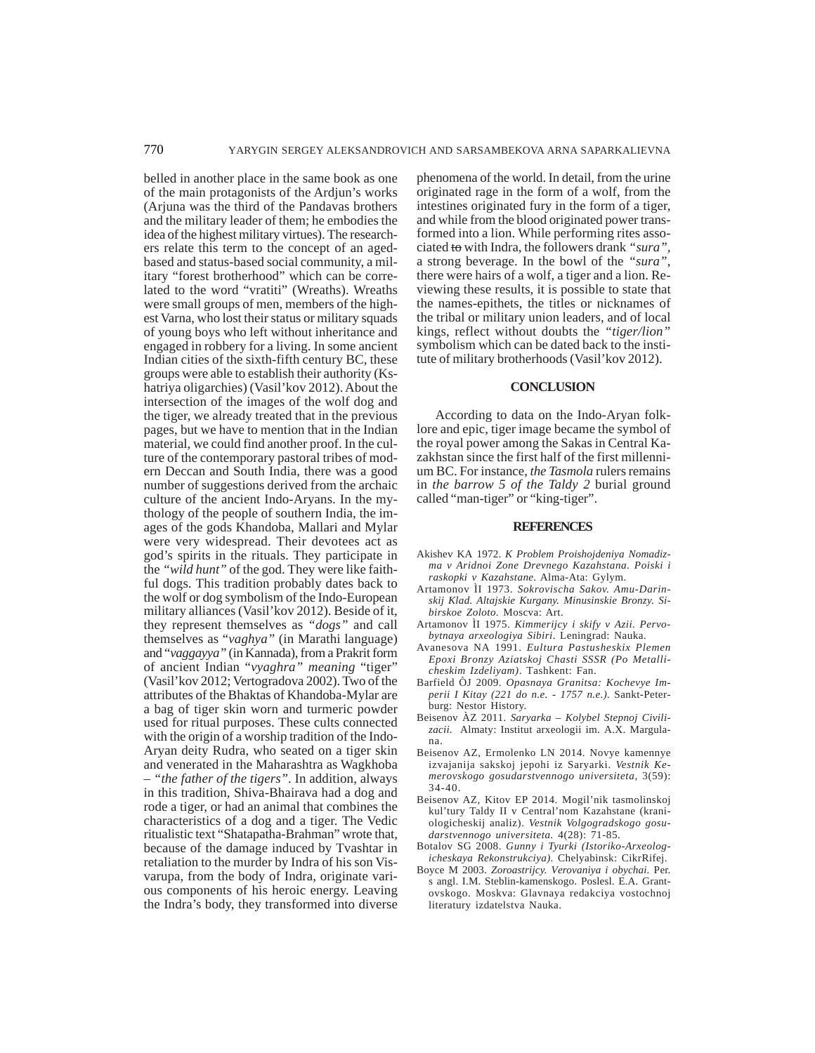belled in another place in the same book as one of the main protagonists of the Ardjun's works (Arjuna was the third of the Pandavas brothers and the military leader of them; he embodies the idea of the highest military virtues). The researchers relate this term to the concept of an agedbased and status-based social community, a military "forest brotherhood" which can be correlated to the word "vratiti" (Wreaths). Wreaths were small groups of men, members of the highest Varna, who lost their status or military squads of young boys who left without inheritance and engaged in robbery for a living. In some ancient Indian cities of the sixth-fifth century BC, these groups were able to establish their authority (Kshatriya oligarchies) (Vasil'kov 2012). About the intersection of the images of the wolf dog and the tiger, we already treated that in the previous pages, but we have to mention that in the Indian material, we could find another proof. In the culture of the contemporary pastoral tribes of modern Deccan and South India, there was a good number of suggestions derived from the archaic culture of the ancient Indo-Aryans. In the mythology of the people of southern India, the images of the gods Khandoba, Mallari and Mylar were very widespread. Their devotees act as god's spirits in the rituals. They participate in the *"wild hunt"* of the god. They were like faithful dogs. This tradition probably dates back to the wolf or dog symbolism of the Indo-European military alliances (Vasil'kov 2012). Beside of it, they represent themselves as *"dogs"* and call themselves as "*vaghya"* (in Marathi language) and "*vaggayya"* (in Kannada), from a Prakrit form of ancient Indian "*vyaghra" meaning* "tiger" (Vasil'kov 2012; Vertogradova 2002). Two of the attributes of the Bhaktas of Khandoba-Mylar are a bag of tiger skin worn and turmeric powder used for ritual purposes. These cults connected with the origin of a worship tradition of the Indo-Aryan deity Rudra, who seated on a tiger skin and venerated in the Maharashtra as Wagkhoba – *"the father of the tigers"*. In addition, always in this tradition, Shiva-Bhairava had a dog and rode a tiger, or had an animal that combines the characteristics of a dog and a tiger. The Vedic ritualistic text "Shatapatha-Brahman" wrote that, because of the damage induced by Tvashtar in retaliation to the murder by Indra of his son Visvarupa, from the body of Indra, originate various components of his heroic energy. Leaving the Indra's body, they transformed into diverse phenomena of the world. In detail, from the urine originated rage in the form of a wolf, from the intestines originated fury in the form of a tiger, and while from the blood originated power transformed into a lion. While performing rites associated to with Indra, the followers drank *"sura",* a strong beverage. In the bowl of the *"sura"*, there were hairs of a wolf, a tiger and a lion. Reviewing these results, it is possible to state that the names-epithets, the titles or nicknames of the tribal or military union leaders, and of local kings, reflect without doubts the *"tiger/lion"* symbolism which can be dated back to the institute of military brotherhoods (Vasil'kov 2012).

# **CONCLUSION**

According to data on the Indo-Aryan folklore and epic, tiger image became the symbol of the royal power among the Sakas in Central Kazakhstan since the first half of the first millennium BC. For instance, *the Tasmola* rulers remains in *the barrow 5 of the Taldy 2* burial ground called "man-tiger" or "king-tiger".

#### **REFERENCES**

- Akishev KA 1972. *K Problem Proishojdeniya Nomadizma v Aridnoi Zone Drevnego Kazahstana. Poiski i raskopki v Kazahstane.* Alma-Ata: Gylym.
- Artamonov ÌI 1973. *Sokrovischa Sakov. Amu-Darinskij Klad. Altajskie Kurgany. Minusinskie Bronzy. Sibirskoe Zoloto.* Moscva: Art.
- Artamonov ÌI 1975. *Kimmerijcy i skify v Azii. Pervobytnaya arxeologiya Sibiri*. Leningrad: Nauka.
- Avanesova NA 1991. *Eultura Pastusheskix Plemen Epoxi Bronzy Aziatskoj Chasti SSSR (Po Metallicheskim Izdeliyam)*. Tashkent: Fan.
- Barfield ÒJ 2009. *Opasnaya Granitsa: Kochevye Imperii I Kitay (221 do n.e. - 1757 n.e.).* Sankt-Peterburg: Nestor History.
- Beisenov ÀZ 2011. *Saryarka Kolybel Stepnoj Civilizacii.* Almaty: Institut arxeologii im. A.X. Margulana.
- Beisenov AZ, Ermolenko LN 2014. Novye kamennye izvajanija sakskoj jepohi iz Saryarki. *Vestnik Kemerovskogo gosudarstvennogo universiteta,* 3(59): 34-40.
- Beisenov AZ, Kitov EP 2014. Mogil'nik tasmolinskoj kul'tury Taldy II v Central'nom Kazahstane (kraniologicheskij analiz). *Vestnik Volgogradskogo gosudarstvennogo universiteta.* 4(28): 71-85.
- Botalov SG 2008. *Gunny i Tyurki (Istoriko-Arxeologicheskaya Rekonstrukciya).* Chelyabinsk: CikrRifej.
- Boyce M 2003. *Zoroastrijcy. Verovaniya i obychai.* Per. s angl. I.M. Steblin-kamenskogo. Poslesl. E.A. Grantovskogo. Moskva: Glavnaya redakciya vostochnoj literatury izdatelstva Nauka.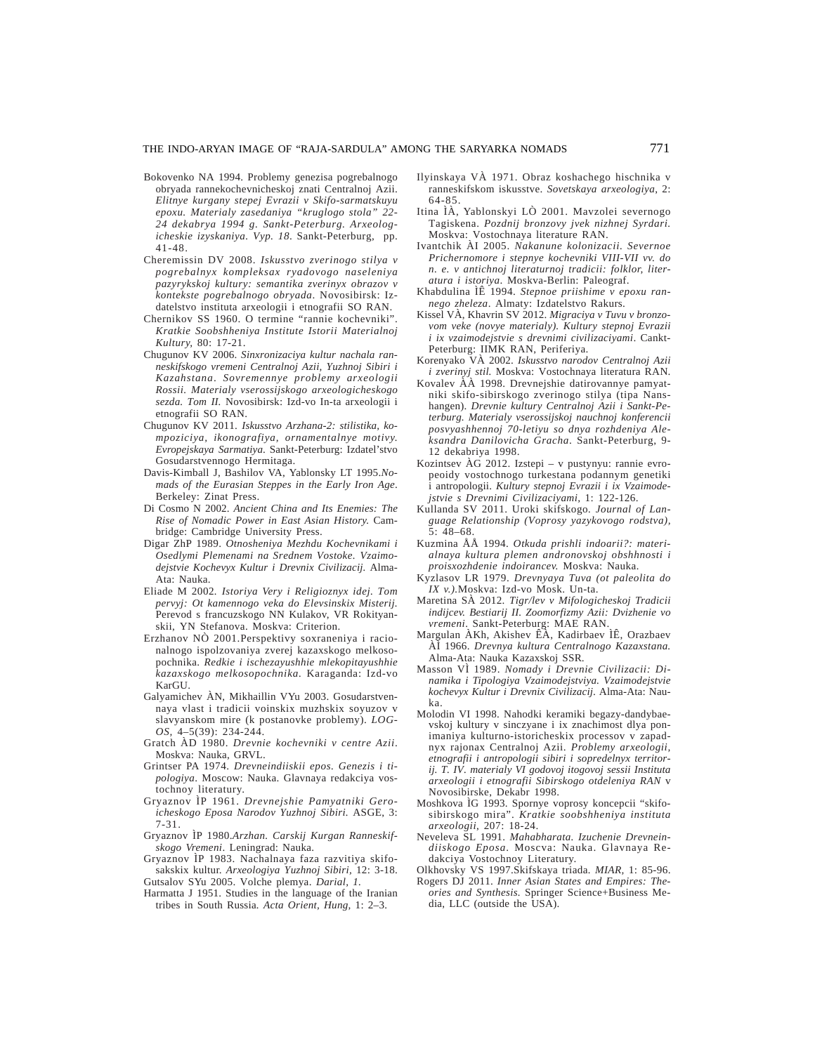- Bokovenko NA 1994. Problemy genezisa pogrebalnogo obryada rannekochevnicheskoj znati Centralnoj Azii. *Elitnye kurgany stepej Evrazii v Skifo-sarmatskuyu epoxu. Materialy zasedaniya "kruglogo stola" 22- 24 dekabrya 1994 g. Sankt-Peterburg. Arxeologicheskie izyskaniya. Vyp. 18*. Sankt-Peterburg, pp. 41-48.
- Cheremissin DV 2008. *Iskusstvo zverinogo stilya v pogrebalnyx kompleksax ryadovogo naseleniya pazyrykskoj kultury: semantika zverinyx obrazov v kontekste pogrebalnogo obryada*. Novosibirsk: Izdatelstvo instituta arxeologii i etnografii SO RAN.
- Chernikov SS 1960. O termine "rannie kochevniki". *Kratkie Soobshheniya Institute Istorii Materialnoj Kultury,* 80: 17-21.
- Chugunov KV 2006. *Sinxronizaciya kultur nachala ranneskifskogo vremeni Centralnoj Azii, Yuzhnoj Sibiri i Kazahstana*. *Sovremennye problemy arxeologii Rossii. Materialy vserossijskogo arxeologicheskogo sezda. Tom II.* Novosibirsk: Izd-vo In-ta arxeologii i etnografii SO RAN.
- Chugunov KV 2011. *Iskusstvo Arzhana-2: stilistika, kompoziciya, ikonografiya, ornamentalnye motivy. Evropejskaya Sarmatiya*. Sankt-Peterburg: Izdatel'stvo Gosudarstvennogo Hermitaga.
- Davis-Kimball J, Bashilov VA, Yablonsky LT 1995.*Nomads of the Eurasian Steppes in the Early Iron Age*. Berkeley: Zinat Press.
- Di Cosmo N 2002. *Ancient China and Its Enemies: The Rise of Nomadic Power in East Asian History.* Cambridge: Cambridge University Press.
- Digar ZhP 1989. *Otnosheniya Mezhdu Kochevnikami i Osedlymi Plemenami na Srednem Vostoke. Vzaimodejstvie Kochevyx Kultur i Drevnix Civilizacij.* Alma-Ata: Nauka.
- Eliade M 2002*. Istoriya Very i Religioznyx idej. Tom pervyj: Ot kamennogo veka do Elevsinskix Misterij.* Perevod s francuzskogo NN Kulakov, VR Rokityanskii, YN Stefanova. Moskva: Criterion.
- Erzhanov NÒ 2001.Perspektivy soxraneniya i racionalnogo ispolzovaniya zverej kazaxskogo melkosopochnika. *Redkie i ischezayushhie mlekopitayushhie kazaxskogo melkosopochnika.* Karaganda: Izd-vo KarGU.
- Galyamichev ÀN, Mikhaillin VYu 2003. Gosudarstvennaya vlast i tradicii voinskix muzhskix soyuzov v slavyanskom mire (k postanovke problemy). *LOG-OS,* 4–5(39): 234-244.
- Gratch ÀD 1980. *Drevnie kochevniki v centre Azii*. Moskva: Nauka, GRVL.
- Grintser PA 1974. *Drevneindiiskii epos. Genezis i tipologiya*. Moscow: Nauka. Glavnaya redakciya vostochnoy literatury.
- Gryaznov ÌP 1961. *Drevnejshie Pamyatniki Geroicheskogo Eposa Narodov Yuzhnoj Sibiri.* ASGE, 3: 7-31.
- Gryaznov ÌP 1980.*Arzhan. Carskij Kurgan Ranneskifskogo Vremeni*. Leningrad: Nauka.
- Gryaznov ÌP 1983. Nachalnaya faza razvitiya skifosakskix kultur. *Arxeologiya Yuzhnoj Sibiri,* 12: 3-18.
- Gutsalov SYu 2005. Volche plemya. *Darial, 1.*
- Harmatta J 1951. Studies in the language of the Iranian tribes in South Russia*. Acta Orient, Hung,* 1: 2–3.
- Ilyinskaya VÀ 1971. Obraz koshachego hischnika v ranneskifskom iskusstve. *Sovetskaya arxeologiya*, 2: 64-85.
- Itina ÌÀ, Yablonskyi LÒ 2001. Mavzolei severnogo Tagiskena. *Pozdnij bronzovy jvek nizhnej Syrdari.* Moskva: Vostochnaya literature RAN.
- Ivantchik ÀI 2005. *Nakanune kolonizacii. Severnoe Prichernomore i stepnye kochevniki VIII-VII vv. do n. e. v antichnoj literaturnoj tradicii: folklor, literatura i istoriya*. Moskva-Berlin: Paleograf.
- Khabdulina ÌÊ 1994. *Stepnoe priishime v epoxu rannego zheleza*. Almaty: Izdatelstvo Rakurs.
- Kissel VÀ, Khavrin SV 2012. *Migraciya v Tuvu v bronzovom veke (novye materialy). Kultury stepnoj Evrazii i ix vzaimodejstvie s drevnimi civilizaciyami*. Cankt-Peterburg: IIMK RAN, Periferiya.
- Korenyako VÀ 2002. *Iskusstvo narodov Centralnoj Azii i zverinyj stil.* Moskva: Vostochnaya literatura RAN.
- Kovalev ÀÀ 1998. Drevnejshie datirovannye pamyatniki skifo-sibirskogo zverinogo stilya (tipa Nanshangen). *Drevnie kultury Centralnoj Azii i Sankt-Peterburg. Materialy vserossijskoj nauchnoj konferencii posvyashhennoj 70-letiyu so dnya rozhdeniya Aleksandra Danilovicha Gracha*. Sankt-Peterburg, 9- 12 dekabriya 1998.
- Kozintsev ÀG 2012. Izstepi v pustynyu: rannie evropeoidy vostochnogo turkestana podannym genetiki i antropologii. *Kultury stepnoj Evrazii i ix Vzaimodejstvie s Drevnimi Civilizaciyami,* 1: 122-126.
- Kullanda SV 2011. Uroki skifskogo*. Journal of Language Relationship (Voprosy yazykovogo rodstva),* 5: 48–68.
- Kuzmina ÅÅ 1994. *Otkuda prishli indoarii?: materialnaya kultura plemen andronovskoj obshhnosti i proisxozhdenie indoirancev.* Moskva: Nauka*.*
- Kyzlasov LR 1979. *Drevnyaya Tuva (ot paleolita do IX v.).*Moskva: Izd-vo Mosk. Un-ta.
- Maretina SÀ 2012. *Tigr/lev v Mifologicheskoj Tradicii indijcev. Bestiarij II. Zoomorfizmy Azii: Dvizhenie vo vremeni*. Sankt-Peterburg: MAE RAN.
- Margulan ÀKh, Akishev ÊÀ, Kadirbaev ÌÊ, Orazbaev ÀÌ 1966. *Drevnya kultura Centralnogo Kazaxstana.* Alma-Ata: Nauka Kazaxskoj SSR.
- Masson VÌ 1989. *Nomady i Drevnie Civilizacii: Dinamika i Tipologiya Vzaimodejstviya. Vzaimodejstvie kochevyx Kultur i Drevnix Civilizacij*. Alma-Ata: Nauka.
- Molodin VI 1998. Nahodki keramiki begazy-dandybaevskoj kultury v sinczyane i ix znachimost dlya ponimaniya kulturno-istoricheskix processov v zapadnyx rajonax Centralnoj Azii. *Problemy arxeologii, etnografii i antropologii sibiri i sopredelnyx territorij. T. IV. materialy VI godovoj itogovoj sessii Instituta arxeologii i etnografii Sibirskogo otdeleniya RAN* v Novosibirske, Dekabr 1998.
- Moshkova ÌG 1993. Spornye voprosy koncepcii "skifosibirskogo mira". *Kratkie soobshheniya instituta arxeologii*, 207: 18-24.
- Neveleva SL 1991. *Mahabharata. Izuchenie Drevneindiiskogo Eposa*. Moscva: Nauka. Glavnaya Redakciya Vostochnoy Literatury.
- Olkhovsky VS 1997.Skifskaya triada*. MIAR,* 1: 85-96. Rogers DJ 2011. *Inner Asian States and Empires: The-*
- *ories and Synthesis.* Springer Science+Business Media, LLC (outside the USA).